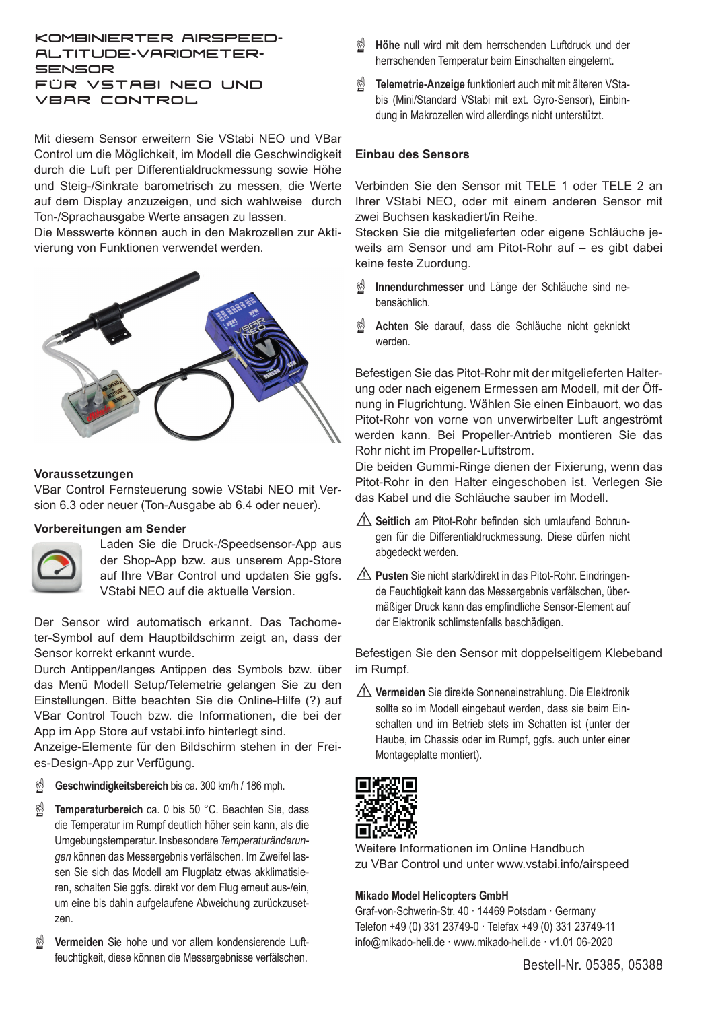# kombinierter Airspeedaltitude-Variometer-**SENSOR** FÜR VSTABI NEO UND VBAR Control

Mit diesem Sensor erweitern Sie VStabi NEO und VBar Control um die Möglichkeit, im Modell die Geschwindigkeit durch die Luft per Differentialdruckmessung sowie Höhe und Steig-/Sinkrate barometrisch zu messen, die Werte auf dem Display anzuzeigen, und sich wahlweise durch Ton-/Sprachausgabe Werte ansagen zu lassen.

Die Messwerte können auch in den Makrozellen zur Aktivierung von Funktionen verwendet werden.



### **Voraussetzungen**

VBar Control Fernsteuerung sowie VStabi NEO mit Version 6.3 oder neuer (Ton-Ausgabe ab 6.4 oder neuer).

#### **Vorbereitungen am Sender**



Laden Sie die Druck-/Speedsensor-App aus der Shop-App bzw. aus unserem App-Store auf Ihre VBar Control und updaten Sie ggfs. VStabi NEO auf die aktuelle Version.

Der Sensor wird automatisch erkannt. Das Tachometer-Symbol auf dem Hauptbildschirm zeigt an, dass der Sensor korrekt erkannt wurde.

Durch Antippen/langes Antippen des Symbols bzw. über das Menü Modell Setup/Telemetrie gelangen Sie zu den Einstellungen. Bitte beachten Sie die Online-Hilfe (?) auf VBar Control Touch bzw. die Informationen, die bei der App im App Store auf vstabi.info hinterlegt sind.

Anzeige-Elemente für den Bildschirm stehen in der Freies-Design-App zur Verfügung.

- Geschwindigkeitsbereich bis ca. 300 km/h / 186 mph.
- ☝ **Temperaturbereich** ca. 0 bis 50 °C. Beachten Sie, dass die Temperatur im Rumpf deutlich höher sein kann, als die Umgebungstemperatur. Insbesondere *Temperaturänderungen* können das Messergebnis verfälschen. Im Zweifel lassen Sie sich das Modell am Flugplatz etwas akklimatisieren, schalten Sie ggfs. direkt vor dem Flug erneut aus-/ein, um eine bis dahin aufgelaufene Abweichung zurückzusetzen.
- ☝ **Vermeiden** Sie hohe und vor allem kondensierende Luftfeuchtigkeit, diese können die Messergebnisse verfälschen.
- ☝ **Höhe** null wird mit dem herrschenden Luftdruck und der herrschenden Temperatur beim Einschalten eingelernt.
- ☝ **Telemetrie-Anzeige** funktioniert auch mit mit älteren VStabis (Mini/Standard VStabi mit ext. Gyro-Sensor), Einbindung in Makrozellen wird allerdings nicht unterstützt.

### **Einbau des Sensors**

Verbinden Sie den Sensor mit TELE 1 oder TELE 2 an Ihrer VStabi NEO, oder mit einem anderen Sensor mit zwei Buchsen kaskadiert/in Reihe.

Stecken Sie die mitgelieferten oder eigene Schläuche jeweils am Sensor und am Pitot-Rohr auf – es gibt dabei keine feste Zuordung.

- ☝ **Innendurchmesser** und Länge der Schläuche sind nebensächlich.
- ☝ **Achten** Sie darauf, dass die Schläuche nicht geknickt werden.

Befestigen Sie das Pitot-Rohr mit der mitgelieferten Halterung oder nach eigenem Ermessen am Modell, mit der Öffnung in Flugrichtung. Wählen Sie einen Einbauort, wo das Pitot-Rohr von vorne von unverwirbelter Luft angeströmt werden kann. Bei Propeller-Antrieb montieren Sie das Rohr nicht im Propeller-Luftstrom.

Die beiden Gummi-Ringe dienen der Fixierung, wenn das Pitot-Rohr in den Halter eingeschoben ist. Verlegen Sie das Kabel und die Schläuche sauber im Modell.

- ⚠**Seitlich** am Pitot-Rohr befinden sich umlaufend Bohrungen für die Differentialdruckmessung. Diese dürfen nicht abgedeckt werden.
- ⚠**Pusten** Sie nicht stark/direkt in das Pitot-Rohr. Eindringende Feuchtigkeit kann das Messergebnis verfälschen, übermäßiger Druck kann das empfindliche Sensor-Element auf der Elektronik schlimstenfalls beschädigen.

Befestigen Sie den Sensor mit doppelseitigem Klebeband im Rumpf.

⚠**Vermeiden** Sie direkte Sonneneinstrahlung. Die Elektronik sollte so im Modell eingebaut werden, dass sie beim Einschalten und im Betrieb stets im Schatten ist (unter der Haube, im Chassis oder im Rumpf, ggfs. auch unter einer Montageplatte montiert).



Weitere Informationen im Online Handbuch zu VBar Control und unter www.vstabi.info/airspeed

#### **Mikado Model Helicopters GmbH**

Graf-von-Schwerin-Str. 40 · 14469 Potsdam · Germany Telefon +49 (0) 331 23749-0 · Telefax +49 (0) 331 23749-11 info@mikado-heli.de · www.mikado-heli.de · v1.01 06-2020